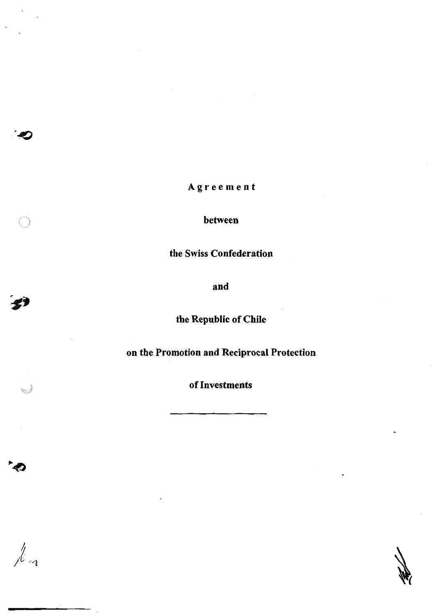Agreement

between

the Swiss Confederation

and

the Republic of Chile

on the Promotion and Reciprocal Protection

of Investments

0

 $\frac{1}{\sqrt{2}}$ 

 $\subset$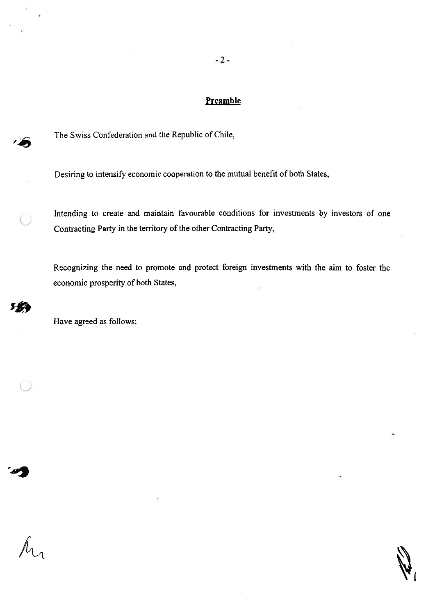$-2-$ 

# **Preamble**

The Swiss Confederation and the Republic of Chile,

Desiring to intensify economic cooperation to the mutual benefit of both States,

Intending to create and maintain favourable conditions for investments by investors of one Contracting Party in the territory of the other Contracting Party,

Recognizing the need to promote and protect foreign investments with the aim to foster the economic prosperity of both States,

Have agreed as follows:

 $\hat{\mathcal{M}}$ 

 $\bigcup$ 

**144** 

 $\cup$ 

m

 $\mathcal{L}$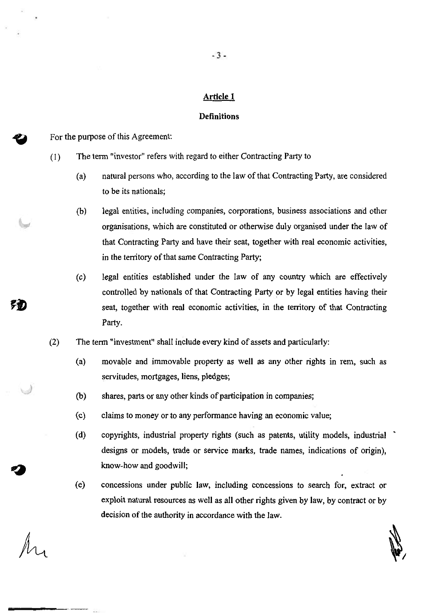#### Article 1

#### Definitions

For the purpose of this Agreement:

- ( 1) The term "investor" refers with regard to either Contracting Patty to
	- (a) natural persons who, according to the law of that Contracting Party, are considered to be its nationals;
	- (b) legal entities, including companies, corporations, business associations and other organisations, which are constituted or otherwise duly organised under the law of that Contracting Party and have their seat, together with real economic activities, in the territory of that same Contracting Party;
	- controlled by nationals of that Contracting Party or by legal entities having their seat, together with real economic activities, in the territory of that Contracting Party. (c) legal entities established under the law of any country which are effectively
- (2) The term "investment" shall include every kind of assets and particularly:
	- (a) movable and immovable property as well as any other rights in rem, such as servitudes, mortgages, liens, pledges;
	- (b) shares, parts or any other kinds of participation in companies;
	- ( c) claims to money or to any performance having an economic value;
	- (d) copyrights, industrial property rights (such as patents, utility models, industrial ' designs or models, trade or service marks, trade names, indications of origin), know-how and goodwill;
	- (e) concessions under public Jaw, including concessions to search for, extract or exploit natural resources as well as a11 other rights given by law, by contract or by decision of the authority in accordance with the Jaw.

*~I* 

 $\sqrt{K}$ 

*()* 

别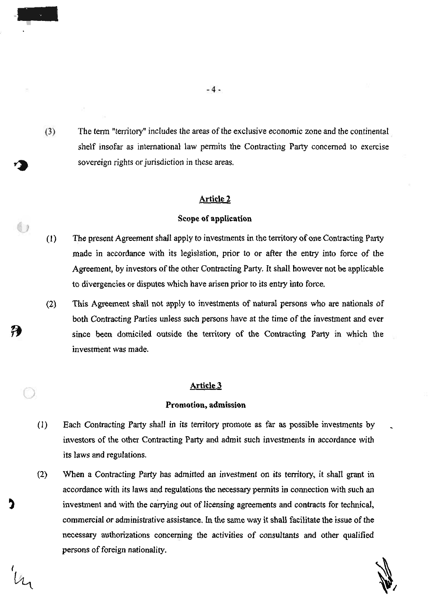sovereign rights or  $\frac{1}{2}$ <br>The term "territory" includes the areas. or shelf insofar as international law perm  $(3)$ The term "territory" includes the areas of the exclusive economic zone and the continental

#### Article 2

#### Scope of application

- $(1)$ made in accordance with its legislation, prior to or after the entry into force of the entry into force of the entry into force of the entry into force of the entry into force of the entry into force of the entry into for made in accordance with its legislation, prior to or after the entry into force of the Agreement, by investors of the other Contracting Party. It shall however not be applicable to divergencies or disputes which have arisen prior to its entry into force.
- $(2)$ both Contracting Parties unless such persons have at the time of the time of the investment and every  $\mathcal{L}$  $\mathcal{S}$  between dominations of the territory of the Contracting Party in which the Contraction  $\mathcal{S}$ since been domiciled outside the territory of the Contracting Party in which the investment was made.

# Article 3

#### Promotion, admission

- $(1)$ investors of the other Contracting Party and admit such investments in a cordance with  $\alpha$ its laws and regulations. its laws and regulations.
- $(2)$  $\alpha$  is laws and regulations the necessary permits in connections the necessary permits in connection with such and  $\alpha$ investment and with the carrying out of licensing agreements and contracts for technical,  $\alpha$ investment and with the carrying out of licensing agreements and contracts for technical, commercial or administrative assistance. In the same way it shall facilitate the issue of the necessary authorizations concerning the activities of consultants and other qualified persons of foreign nationality.

*I~* 

 $\overline{a}$ 

-

*~I*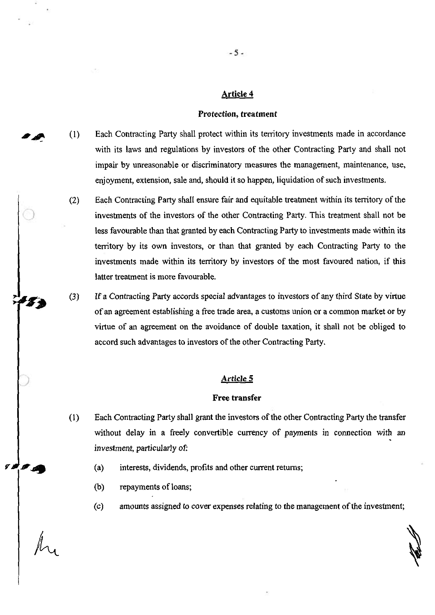#### **Article 4**

#### **Protection, treatment**

- Each Contracting Party shall protect within its territory investments made in accordance with its laws and regulations by investors of the other Contracting Party and shall not impair by unreasonable or discriminatory measures the management, maintenance, use, enjoyment, extension, sale and, should it so happen, liquidation of such investments.  $\mathcal{L}$ 
	- Each Contracting Party shall ensure fair and equitable treatment within its territory of the investments of the investors of the other Contracting Party. This treatment shall not be less favourable than that granted by each Contracting Party to investments made within its territory by its own investors, or than that granted by each Contracting Party to the investments made within its territory by investors of the most favoured nation, if this
- If a Contracting Party accords special advantages to investors of any third State by virtue of an agreement establishing a free trade area, a customs union or a common market or by virtue of an agreement on the avoidance of double taxation, it shall not be obliged to accord such advantages to investors of the other Contracting Party. (3)

#### <u>Article 5</u>

#### **Free transfer**

- (1) Each Contracting Party shall grant the investors of the other Contracting Party the transfer without delay in a freely convertible currency of payments in connection with an investment, particularly of:
	- (a) interests, dividends, profits and other current returns;
	- repayments of loans;
	- amounts assigned to cover expenses relating to the management of the investment;

*)*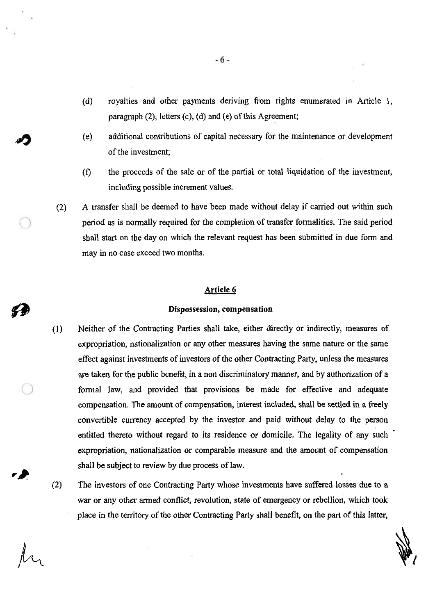- (d) royalties and other payments deriving from rights enumerated in Article 1, paragraph (2), letters (c), (d) and (e) of this Agreement;
- (e) additional contributions of capital necessary for the maintenance or development of the investment;
- (f) the proceeds of the sale or of the partial or total liquidation of the investment, including possible increment values.
- A transfer shall be deemed to have been made without delay if carried out within such period as is normally required for the completion of transfer formalities. The said period shall start on the day on which the relevant request has been submitted in due form and may in no case exceed two months. (2)

#### Article 6

#### Dispossession, compensation

- (1) Neither of the Contracting Parties shall take, either directly or indirectly, measures of expropriation, nationalization or any other measures having the same nature or the same effect against investments of investors of the other Contracting Party, unless the measures are taken for the public benefit, in a non discriminatory manner, and by authorization of a formal law, and provided that provisions be made for effective and adequate compensation. The amount of compensation, interest included, shall be settled in a freely convertible currency accepted by the investor and paid without delay to the person entitled thereto without regard to its residence or domicile. The legality of any such expropriation, nationalization or comparable measure and the amount of compensation shall be subject to review by due process of law.
- war or any other armed conflict, revolution, state of emergency or rebellion, which took place in the territory of the other Contracting Party shall benefit, on the part of this latter, (2) The investors of one Contracting Party whose investments have suffered losses due to a

 $\cap$ 

r D

 $\cap$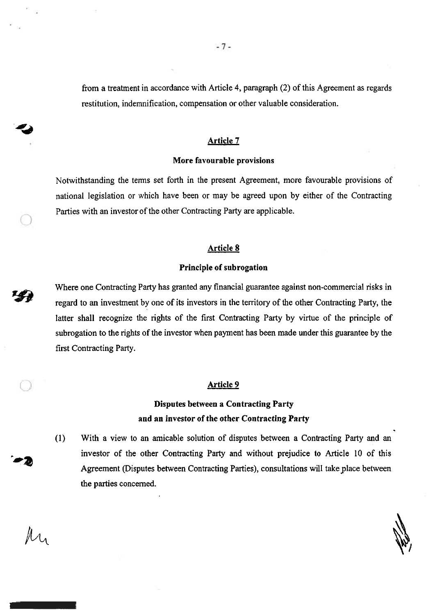from a treatment in accordance with Article 4, paragraph (2) of this Agreement as regards restitution, indemnification, compensation or other valuable consideration.

#### Article 7

#### More favourable provisions

Notwithstanding the terms set forth in the present Agreement, more favourable provisions of national legislation or which have been or may be agreed upon by either of the Contracting Parties with an investor of the other Contracting Party are applicable.

#### Article 8

#### Principle of subrogation

Where one Contracting Party has granted any financial guarantee against non-commercial risks in regard to an investment by one of its investors in the territory of the other Contracting Party, the latter shall recognize the rights of the first Contracting Party by virtue of the principle of subrogation to the rights of the investor when payment has been made under this guarantee by the first Contracting Party.

#### Article 9

# Disputes between a Contracting Party and an investor of the other Contracting Party

With a view to an amicable solution of disputes between a Contracting Party and an investor of the other Contracting Party and without prejudice to Article 10 of this Agreement (Disputes between Contracting Parties), consultations will take place between the parties concerned. (I)

ำ  $-1$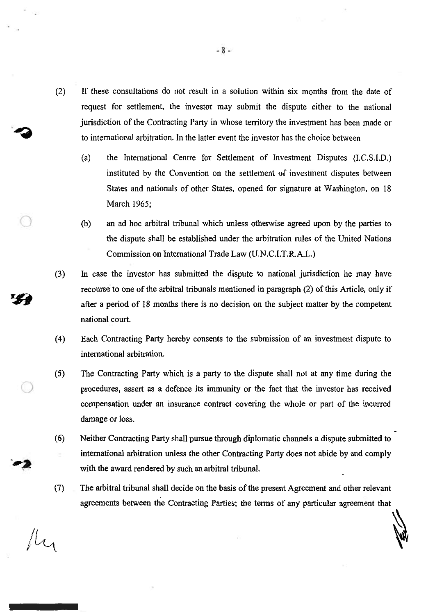- (2) If these consultations do not result in a solution within six months from the date of request for settlement, the investor may submit the dispute either to the national jurisdiction of the Contracting Party in whose territory the investment has been made or to international arbitration. In the latter event the investor has the choice between
	- (a) the International Centre for Settlement of Investment Disputes (I.C.S.l.D.) instituted by the Convention on the settlement of investment disputes between States and nationals of other States, opened for signature at Washington, on 18 March 1965;
	- an ad hoc arbitral tribunal which unless otherwise agreed upon by the parties to the dispute shall be established under the arbitration rules of the United Nations Commission on International Trade Law (U.N.C.l.T.R.A.L.) (b)
- In case the investor has submitted the dispute to national jurisdiction he may have recourse to one of the arbitral tribunals mentioned in paragraph (2) of this Article, only if after a period of 18 months there is no decision on the subject matter by the competent national court. (3)
- ( 4) Each Contracting Party hereby consents to the submission of an investment dispute to international arbitration.
- The Contracting Party which is a party to the dispute shall not at any time during the procedures, assert as a defence its immunity or the fact that the investor has received compensation under an insurance contract covering the whole or part of the incurred damage or loss. (5)
- Neither Contracting Party shall pursue through diplomatic channels a dispute submitted to international arbitration unless the other Contracting Party does not abide by and comply with the award rendered by such an arbitral tribunal. (6)
- The arbitral tribunal shall decide on the basis of the present Agreement and other relevant agreements between the Contracting Parties; the terms of any particular agreement that (7)

 $\mathbf{v}$ 

fly

 $\bigcirc$ 

(j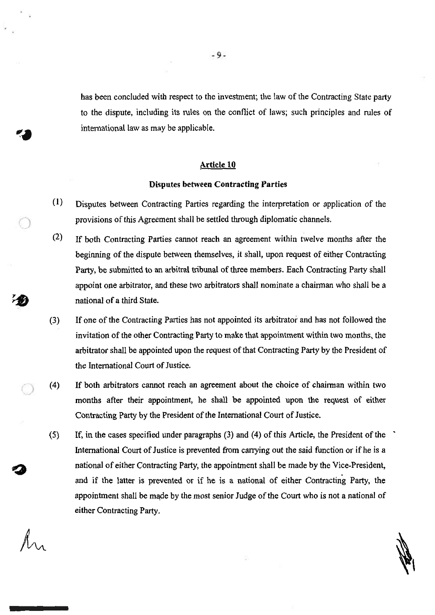has been concluded with respect to the investment; the law of the Contracting State party to the dispute, including its rules on the conflict of laws; such principles and rules of international law as may be applicable.

#### Article 10

#### Disputes between Contracting Parties

- (1) Disputes between Contracting Parties regarding the interpretation or application of the provisions of this Agreement shall be settled through diplomatic channels.
- beginning of the dispute between themselves, it shall, upon request of either Contracting Party, be submitted to an arbitral tribunal of three members. Each Contracting Party shall appoint one arbitrator, and these two arbitrators shall nominate a chairman who shall be a national of a third State. (2) If both Contracting Parties cannot reach an agreement within twelve months after the
- (3) If one of the Contracting Parties has not appointed its arbitrator and has not followed the invitation of the other Contracting Party to make that appointment within two months, the arbitrator shall be appointed upon the request of that Contracting Party by the President of the International Court of Justice.
- (4) If both arbitrators cannot reach an agreement about the choice of chairman within two months after their appointment, he shall be appointed upon the request of either Contracting Party by the President of the International Court of Justice.
- International Court of Justice is prevented from carrying out the said function or if he is a national of either Contracting Party, the appointment shall be made by the Vice-President, and if the latter is prevented or if he is a national of either Contracting Party, the appointment shall be made by the most senior Judge of the Court who is not a national of either Contracting Party. (5) If, in the cases specified under paragraphs (3) and (4) of this Article, the President of the '

*)* 

)

 $\mathscr{M}$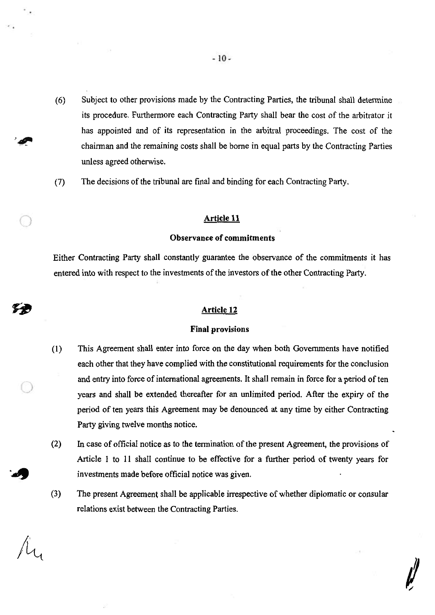- (6) Subject to other provisions made by the Contracting Parties, the tribunal shall determine its procedure. Furthermore each Contracting Party shall bear the cost of the arbitrator it has appointed and of its representation in the arbitral proceedings. The cost of the chairman and the remaining costs shall be borne in equal parts by the Contracting Parties unless agreed otherwise.
- (7) The decisions of the tribunal are final and binding for each Contracting Party.

#### Article 11 *)*

#### Observance of commitments

Either Contracting Party shall constantly guarantee the observance of the commitments it has entered into with respect to the investments of the investors of the other Contracting Party.

### Article 12

#### Final provisions

- (1) This Agreement shall enter into force on the day when both Governments have notified each other that they have complied with the constitutional requirements for the conclusion and entry into force of international agreements. It shall remain in force for a period of ten years and shall be extended thereafter for an unlimited period. After the expiry of the period of ten years this Agreement may be denounced at any time by either Contracting Party giving twelve months notice.
- investments made before official notice was given. In case of official notice as to the termination of the present Agreement, the provisions of Article l to 11 shall continue to be effective for a further period of twenty years for (2)
- The present Agreement shall be applicable irrespective of whether diplomatic or consular relations exist between the Contracting Parties. (3)

 $\mu$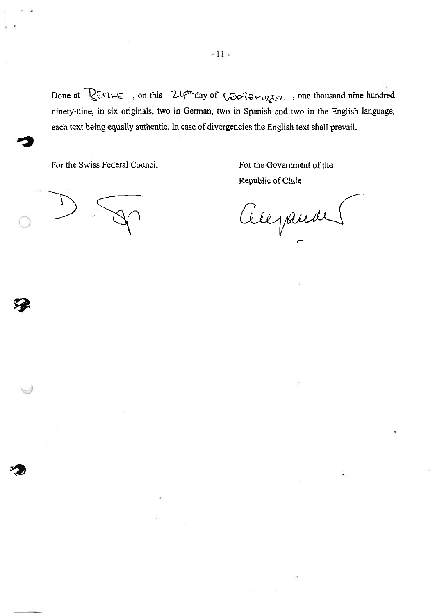Done at  $\sqrt{2\pi}$  , on this  $24$ <sup>m</sup> day of  $\sqrt{2}$   $\sqrt{2\pi}$  , one thousand nine hundred ninety-nine, in six originals, two in German, two in Spanish and two in the English language, each text being equally authentic. In case of divergencies the English text shall prevail.

For the Swiss Federal Council

For the Government of the Republic of Chile

0

Citepande